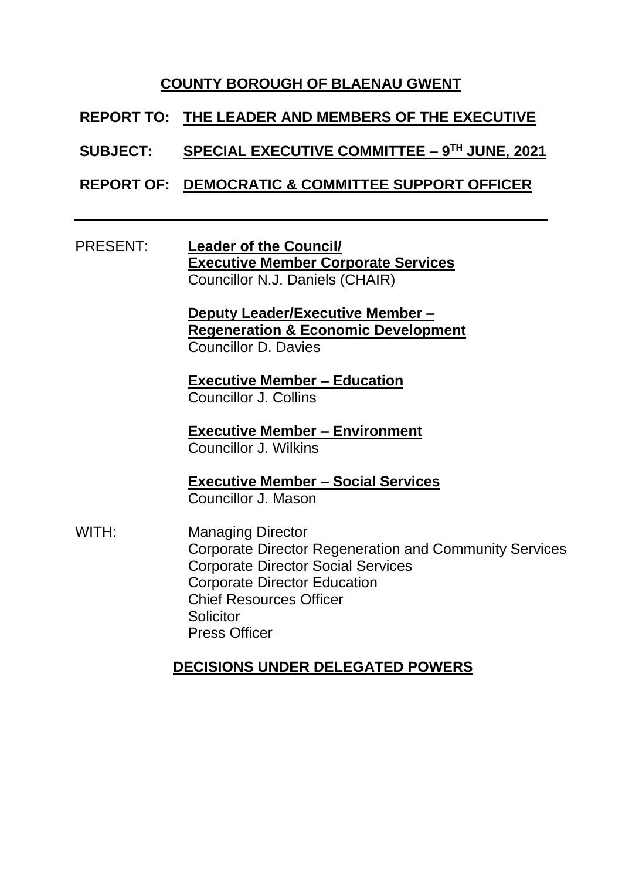## **COUNTY BOROUGH OF BLAENAU GWENT**

## **REPORT TO: THE LEADER AND MEMBERS OF THE EXECUTIVE**

#### **SUBJECT: SPECIAL EXECUTIVE COMMITTEE – 9 TH JUNE, 2021**

## **REPORT OF: DEMOCRATIC & COMMITTEE SUPPORT OFFICER**

#### PRESENT: **Leader of the Council/ Executive Member Corporate Services** Councillor N.J. Daniels (CHAIR)

**Deputy Leader/Executive Member – Regeneration & Economic Development**  Councillor D. Davies

**Executive Member – Education** Councillor J. Collins

**Executive Member – Environment** Councillor J. Wilkins

**Executive Member – Social Services** Councillor J. Mason

WITH: Managing Director Corporate Director Regeneration and Community Services Corporate Director Social Services Corporate Director Education Chief Resources Officer **Solicitor** Press Officer

# **DECISIONS UNDER DELEGATED POWERS**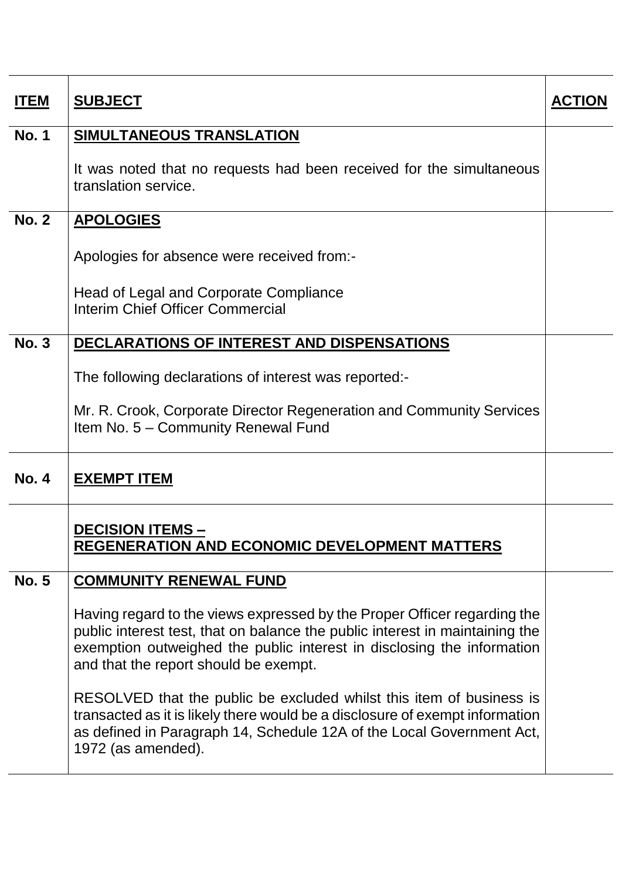| <b>ITEM</b>  | <b>SUBJECT</b>                                                                                                                                                                                                                                                              | <b>ACTION</b> |
|--------------|-----------------------------------------------------------------------------------------------------------------------------------------------------------------------------------------------------------------------------------------------------------------------------|---------------|
| <b>No. 1</b> | <b>SIMULTANEOUS TRANSLATION</b>                                                                                                                                                                                                                                             |               |
|              | It was noted that no requests had been received for the simultaneous<br>translation service.                                                                                                                                                                                |               |
| <b>No. 2</b> | <b>APOLOGIES</b>                                                                                                                                                                                                                                                            |               |
|              | Apologies for absence were received from:-<br>Head of Legal and Corporate Compliance<br>Interim Chief Officer Commercial                                                                                                                                                    |               |
| <b>No. 3</b> | DECLARATIONS OF INTEREST AND DISPENSATIONS                                                                                                                                                                                                                                  |               |
|              | The following declarations of interest was reported:-<br>Mr. R. Crook, Corporate Director Regeneration and Community Services<br>Item No. 5 - Community Renewal Fund                                                                                                        |               |
| <b>No. 4</b> | <b>EXEMPT ITEM</b>                                                                                                                                                                                                                                                          |               |
|              | <b>DECISION ITEMS -</b><br><b>REGENERATION AND ECONOMIC DEVELOPMENT MATTERS</b>                                                                                                                                                                                             |               |
| <b>No. 5</b> | <b>COMMUNITY RENEWAL FUND</b>                                                                                                                                                                                                                                               |               |
|              | Having regard to the views expressed by the Proper Officer regarding the<br>public interest test, that on balance the public interest in maintaining the<br>exemption outweighed the public interest in disclosing the information<br>and that the report should be exempt. |               |
|              | RESOLVED that the public be excluded whilst this item of business is<br>transacted as it is likely there would be a disclosure of exempt information<br>as defined in Paragraph 14, Schedule 12A of the Local Government Act,<br>1972 (as amended).                         |               |